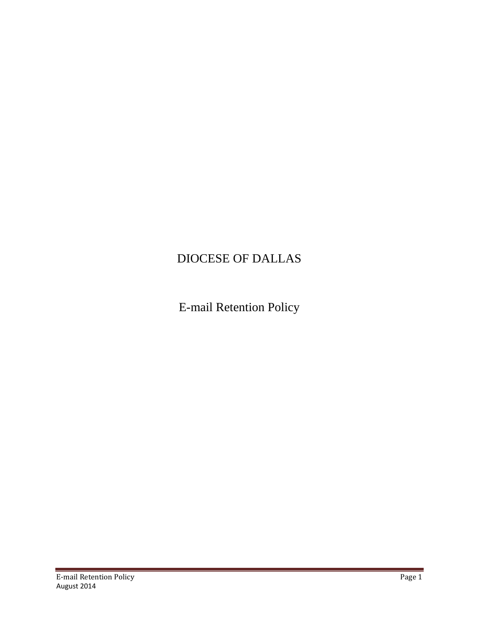# DIOCESE OF DALLAS

E-mail Retention Policy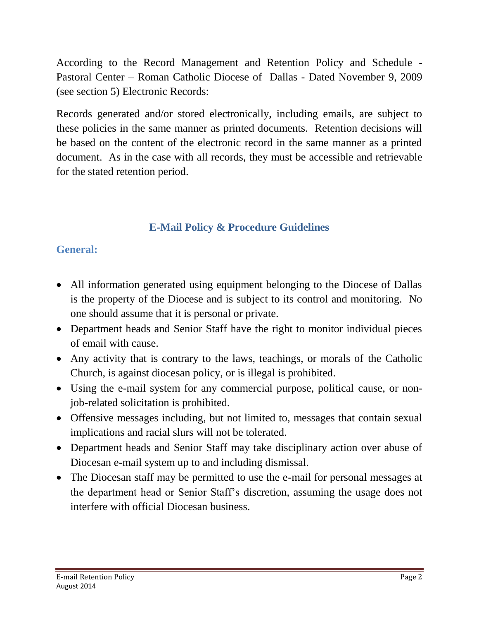According to the Record Management and Retention Policy and Schedule - Pastoral Center – Roman Catholic Diocese of Dallas - Dated November 9, 2009 (see section 5) Electronic Records:

Records generated and/or stored electronically, including emails, are subject to these policies in the same manner as printed documents. Retention decisions will be based on the content of the electronic record in the same manner as a printed document. As in the case with all records, they must be accessible and retrievable for the stated retention period.

## **E-Mail Policy & Procedure Guidelines**

### **General:**

- All information generated using equipment belonging to the Diocese of Dallas is the property of the Diocese and is subject to its control and monitoring. No one should assume that it is personal or private.
- Department heads and Senior Staff have the right to monitor individual pieces of email with cause.
- Any activity that is contrary to the laws, teachings, or morals of the Catholic Church, is against diocesan policy, or is illegal is prohibited.
- Using the e-mail system for any commercial purpose, political cause, or nonjob-related solicitation is prohibited.
- Offensive messages including, but not limited to, messages that contain sexual implications and racial slurs will not be tolerated.
- Department heads and Senior Staff may take disciplinary action over abuse of Diocesan e-mail system up to and including dismissal.
- The Diocesan staff may be permitted to use the e-mail for personal messages at the department head or Senior Staff's discretion, assuming the usage does not interfere with official Diocesan business.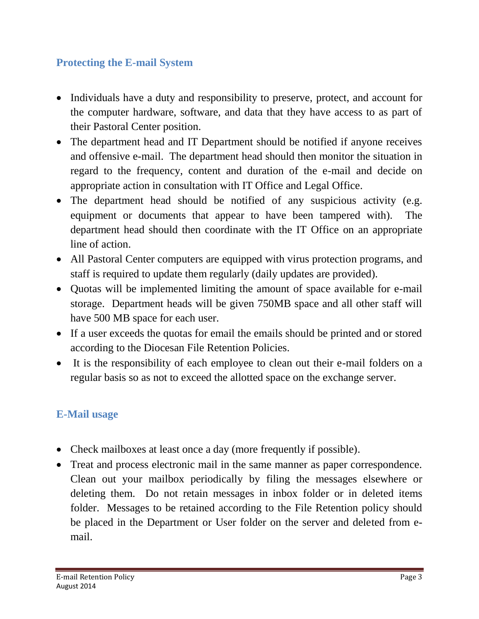### **Protecting the E-mail System**

- Individuals have a duty and responsibility to preserve, protect, and account for the computer hardware, software, and data that they have access to as part of their Pastoral Center position.
- The department head and IT Department should be notified if anyone receives and offensive e-mail. The department head should then monitor the situation in regard to the frequency, content and duration of the e-mail and decide on appropriate action in consultation with IT Office and Legal Office.
- The department head should be notified of any suspicious activity (e.g. equipment or documents that appear to have been tampered with). The department head should then coordinate with the IT Office on an appropriate line of action.
- All Pastoral Center computers are equipped with virus protection programs, and staff is required to update them regularly (daily updates are provided).
- Quotas will be implemented limiting the amount of space available for e-mail storage. Department heads will be given 750MB space and all other staff will have 500 MB space for each user.
- If a user exceeds the quotas for email the emails should be printed and or stored according to the Diocesan File Retention Policies.
- It is the responsibility of each employee to clean out their e-mail folders on a regular basis so as not to exceed the allotted space on the exchange server.

#### **E-Mail usage**

- Check mailboxes at least once a day (more frequently if possible).
- Treat and process electronic mail in the same manner as paper correspondence. Clean out your mailbox periodically by filing the messages elsewhere or deleting them. Do not retain messages in inbox folder or in deleted items folder. Messages to be retained according to the File Retention policy should be placed in the Department or User folder on the server and deleted from email.